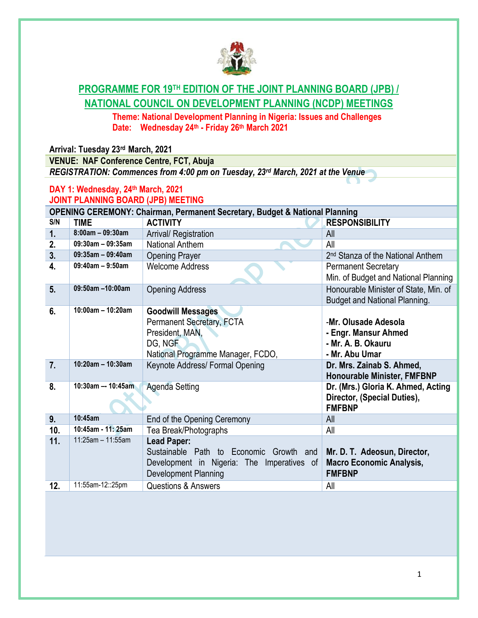

## **PROGRAMME FOR 19TH EDITION OF THE JOINT PLANNING BOARD (JPB) / NATIONAL COUNCIL ON DEVELOPMENT PLANNING (NCDP) MEETINGS**

**Theme: National Development Planning in Nigeria: Issues and Challenges Date: Wednesday 24th - Friday 26th March 2021**

**Arrival: Tuesday 23rd March, 2021** 

**VENUE: NAF Conference Centre, FCT, Abuja**  *REGISTRATION: Commences from 4:00 pm on Tuesday, 23rd March, 2021 at the Venue*

## **DAY 1: Wednesday, 24th March, 2021 JOINT PLANNING BOARD (JPB) MEETING**

| <b>OPENING CEREMONY: Chairman, Permanent Secretary, Budget &amp; National Planning</b> |                        |                                                                                                                                           |                                                                                      |  |  |
|----------------------------------------------------------------------------------------|------------------------|-------------------------------------------------------------------------------------------------------------------------------------------|--------------------------------------------------------------------------------------|--|--|
| S/N                                                                                    | <b>TIME</b>            | <b>ACTIVITY</b>                                                                                                                           | <b>RESPONSIBILITY</b>                                                                |  |  |
| 1.                                                                                     | $8:00am - 09:30am$     | Arrival/ Registration                                                                                                                     | All                                                                                  |  |  |
| 2.                                                                                     | 09:30am - 09:35am      | National Anthem                                                                                                                           | All                                                                                  |  |  |
| 3.                                                                                     | $09:35$ am - 09:40am   | <b>Opening Prayer</b>                                                                                                                     | 2 <sup>nd</sup> Stanza of the National Anthem                                        |  |  |
| 4.                                                                                     | $09:40$ am - $9:50$ am | <b>Welcome Address</b>                                                                                                                    | <b>Permanent Secretary</b><br>Min. of Budget and National Planning                   |  |  |
| 5.                                                                                     | 09:50am -10:00am       | <b>Opening Address</b>                                                                                                                    | Honourable Minister of State, Min. of<br><b>Budget and National Planning.</b>        |  |  |
| 6.                                                                                     | $10:00$ am - 10:20am   | <b>Goodwill Messages</b><br><b>Permanent Secretary, FCTA</b><br>President, MAN,<br>DG, NGF<br>National Programme Manager, FCDO,           | -Mr. Olusade Adesola<br>- Engr. Mansur Ahmed<br>- Mr. A. B. Okauru<br>- Mr. Abu Umar |  |  |
| 7.                                                                                     | $10:20$ am - 10:30am   | Keynote Address/ Formal Opening                                                                                                           | Dr. Mrs. Zainab S. Ahmed,<br><b>Honourable Minister, FMFBNP</b>                      |  |  |
| 8.                                                                                     | 10:30am -- 10:45am     | <b>Agenda Setting</b>                                                                                                                     | Dr. (Mrs.) Gloria K. Ahmed, Acting<br>Director, (Special Duties),<br><b>FMFBNP</b>   |  |  |
| 9.                                                                                     | 10:45am                | End of the Opening Ceremony                                                                                                               | All                                                                                  |  |  |
| 10.                                                                                    | 10:45am - 11: 25am     | Tea Break/Photographs                                                                                                                     | All                                                                                  |  |  |
| 11.                                                                                    | 11:25am - 11:55am      | <b>Lead Paper:</b><br>Sustainable Path to Economic<br>Growth<br>and<br>Development in Nigeria: The Imperatives of<br>Development Planning | Mr. D. T. Adeosun, Director,<br><b>Macro Economic Analysis,</b><br><b>FMFBNP</b>     |  |  |
| 12.                                                                                    | 11:55am-12::25pm       | <b>Questions &amp; Answers</b>                                                                                                            | All                                                                                  |  |  |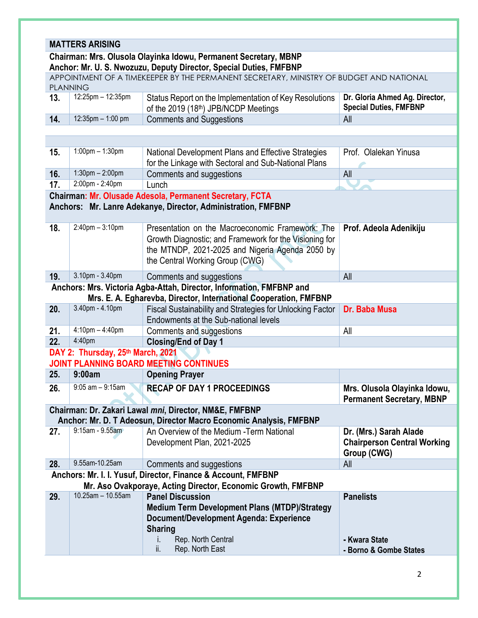## **MATTERS ARISING**

## **Chairman: Mrs. Olusola Olayinka Idowu, Permanent Secretary, MBNP Anchor: Mr. U. S. Nwozuzu, Deputy Director, Special Duties, FMFBNP**

| APPOINTMENT OF A TIMEKEEPER BY THE PERMANENT SECRETARY, MINISTRY OF BUDGET AND NATIONAL<br><b>PLANNING</b>                    |                                   |                                                                                                                                                                                                    |                                                                 |  |  |
|-------------------------------------------------------------------------------------------------------------------------------|-----------------------------------|----------------------------------------------------------------------------------------------------------------------------------------------------------------------------------------------------|-----------------------------------------------------------------|--|--|
| 13.                                                                                                                           | 12:25pm - 12:35pm                 | Status Report on the Implementation of Key Resolutions<br>of the 2019 (18th) JPB/NCDP Meetings                                                                                                     | Dr. Gloria Ahmed Ag. Director,<br><b>Special Duties, FMFBNP</b> |  |  |
| 14.                                                                                                                           | 12:35pm - 1:00 pm                 | <b>Comments and Suggestions</b>                                                                                                                                                                    | All                                                             |  |  |
|                                                                                                                               |                                   |                                                                                                                                                                                                    |                                                                 |  |  |
|                                                                                                                               |                                   |                                                                                                                                                                                                    |                                                                 |  |  |
| 15.                                                                                                                           | $1:00$ pm $- 1:30$ pm             | National Development Plans and Effective Strategies<br>for the Linkage with Sectoral and Sub-National Plans                                                                                        | Prof. Olalekan Yinusa                                           |  |  |
| 16.                                                                                                                           | $1:30$ pm $- 2:00$ pm             | Comments and suggestions                                                                                                                                                                           | All                                                             |  |  |
| 17.                                                                                                                           | 2:00pm - 2:40pm                   | Lunch                                                                                                                                                                                              |                                                                 |  |  |
| Chairman: Mr. Olusade Adesola, Permanent Secretary, FCTA<br>Anchors: Mr. Lanre Adekanye, Director, Administration, FMFBNP     |                                   |                                                                                                                                                                                                    |                                                                 |  |  |
| 18.                                                                                                                           | $2:40$ pm $-3:10$ pm              | Presentation on the Macroeconomic Framework: The<br>Growth Diagnostic; and Framework for the Visioning for<br>the MTNDP, 2021-2025 and Nigeria Agenda 2050 by<br>the Central Working Group (CWG)   | Prof. Adeola Adenikiju                                          |  |  |
| 19.                                                                                                                           | 3.10pm - 3.40pm                   | Comments and suggestions                                                                                                                                                                           | All                                                             |  |  |
|                                                                                                                               |                                   | Anchors: Mrs. Victoria Agba-Attah, Director, Information, FMFBNP and                                                                                                                               |                                                                 |  |  |
|                                                                                                                               |                                   | Mrs. E. A. Egharevba, Director, International Cooperation, FMFBNP                                                                                                                                  |                                                                 |  |  |
| 20.                                                                                                                           | 3.40pm - 4.10pm                   | Fiscal Sustainability and Strategies for Unlocking Factor<br>Endowments at the Sub-national levels                                                                                                 | Dr. Baba Musa                                                   |  |  |
| 21.                                                                                                                           | $4:10$ pm $- 4:40$ pm             | Comments and suggestions                                                                                                                                                                           | All                                                             |  |  |
| 22.                                                                                                                           | 4:40pm                            | <b>Closing/End of Day 1</b>                                                                                                                                                                        |                                                                 |  |  |
|                                                                                                                               | DAY 2: Thursday, 25th March, 2021 |                                                                                                                                                                                                    |                                                                 |  |  |
|                                                                                                                               |                                   | <b>JOINT PLANNING BOARD MEETING CONTINUES</b>                                                                                                                                                      |                                                                 |  |  |
| 25.                                                                                                                           | 9:00am                            | <b>Opening Prayer</b>                                                                                                                                                                              |                                                                 |  |  |
| 26.                                                                                                                           | $9:05$ am $-9:15$ am              | <b>RECAP OF DAY 1 PROCEEDINGS</b>                                                                                                                                                                  | Mrs. Olusola Olayinka Idowu,                                    |  |  |
|                                                                                                                               |                                   | Chairman: Dr. Zakari Lawal mni, Director, NM&E, FMFBNP                                                                                                                                             | <b>Permanent Secretary, MBNP</b>                                |  |  |
|                                                                                                                               |                                   | Anchor: Mr. D. T Adeosun, Director Macro Economic Analysis, FMFBNP                                                                                                                                 |                                                                 |  |  |
| 27.                                                                                                                           | $9:15am - 9.55am$                 | An Overview of the Medium - Term National                                                                                                                                                          | Dr. (Mrs.) Sarah Alade                                          |  |  |
|                                                                                                                               |                                   | Development Plan, 2021-2025                                                                                                                                                                        | <b>Chairperson Central Working</b><br>Group (CWG)               |  |  |
| 28.                                                                                                                           | 9.55am-10.25am                    | Comments and suggestions                                                                                                                                                                           | All                                                             |  |  |
| Anchors: Mr. I. I. Yusuf, Director, Finance & Account, FMFBNP<br>Mr. Aso Ovakporaye, Acting Director, Economic Growth, FMFBNP |                                   |                                                                                                                                                                                                    |                                                                 |  |  |
| 29.                                                                                                                           | 10.25am - 10.55am                 | <b>Panel Discussion</b><br><b>Medium Term Development Plans (MTDP)/Strategy</b><br>Document/Development Agenda: Experience<br><b>Sharing</b><br>Rep. North Central<br>İ.<br>ii.<br>Rep. North East | <b>Panelists</b><br>- Kwara State<br>- Borno & Gombe States     |  |  |
|                                                                                                                               |                                   |                                                                                                                                                                                                    |                                                                 |  |  |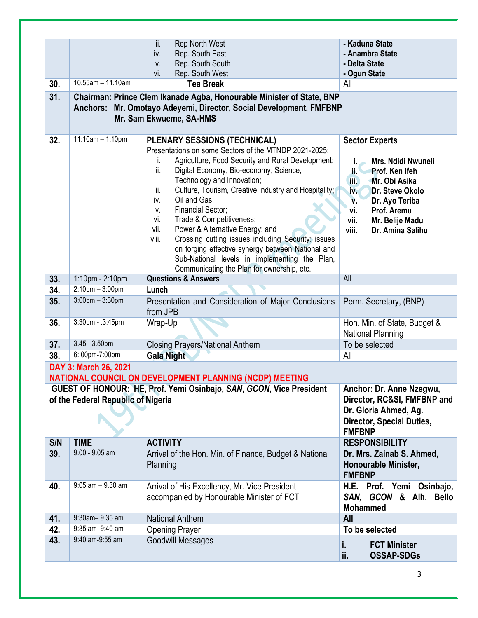|     |                                                                                                                                                                        | iii.<br>Rep North West                                                                                                                                                                                                                                                                                                          | - Kaduna State                                                                                                                                                 |  |  |  |
|-----|------------------------------------------------------------------------------------------------------------------------------------------------------------------------|---------------------------------------------------------------------------------------------------------------------------------------------------------------------------------------------------------------------------------------------------------------------------------------------------------------------------------|----------------------------------------------------------------------------------------------------------------------------------------------------------------|--|--|--|
|     |                                                                                                                                                                        | Rep. South East<br>iv.                                                                                                                                                                                                                                                                                                          | - Anambra State                                                                                                                                                |  |  |  |
|     |                                                                                                                                                                        | Rep. South South<br>V.                                                                                                                                                                                                                                                                                                          | - Delta State                                                                                                                                                  |  |  |  |
|     |                                                                                                                                                                        | Rep. South West<br>vi.                                                                                                                                                                                                                                                                                                          | - Ogun State                                                                                                                                                   |  |  |  |
| 30. | 10.55am - 11.10am                                                                                                                                                      | <b>Tea Break</b>                                                                                                                                                                                                                                                                                                                | All                                                                                                                                                            |  |  |  |
| 31. | Chairman: Prince Clem Ikanade Agba, Honourable Minister of State, BNP<br>Anchors: Mr. Omotayo Adeyemi, Director, Social Development, FMFBNP<br>Mr. Sam Ekwueme, SA-HMS |                                                                                                                                                                                                                                                                                                                                 |                                                                                                                                                                |  |  |  |
| 32. | $11:10am - 1:10pm$                                                                                                                                                     | <b>PLENARY SESSIONS (TECHNICAL)</b><br>Presentations on some Sectors of the MTNDP 2021-2025:<br>Agriculture, Food Security and Rural Development;<br>I.<br>ii.<br>Digital Economy, Bio-economy, Science,<br>Technology and Innovation;<br>Culture, Tourism, Creative Industry and Hospitality;<br>iii.<br>Oil and Gas;<br>iv.   | <b>Sector Experts</b><br><b>Mrs. Ndidi Nwuneli</b><br>ii.<br>Prof. Ken Ifeh<br>$\mathbf{f}$<br>Mr. Obi Asika<br>Dr. Steve Okolo<br>iv.<br>Dr. Ayo Teriba<br>v. |  |  |  |
|     |                                                                                                                                                                        | <b>Financial Sector;</b><br>V.<br>Trade & Competitiveness;<br>vi.<br>Power & Alternative Energy; and<br>vii.<br>Crossing cutting issues including Security: issues<br>viii.<br>on forging effective synergy between National and<br>Sub-National levels in implementing the Plan,<br>Communicating the Plan for ownership, etc. | Prof. Aremu<br>vi.<br>vii.<br>Mr. Belije Madu<br>viii.<br>Dr. Amina Salihu                                                                                     |  |  |  |
| 33. | 1:10pm - 2:10pm                                                                                                                                                        | <b>Questions &amp; Answers</b>                                                                                                                                                                                                                                                                                                  | All                                                                                                                                                            |  |  |  |
| 34. | $2:10$ pm $-3:00$ pm                                                                                                                                                   | Lunch                                                                                                                                                                                                                                                                                                                           |                                                                                                                                                                |  |  |  |
| 35. | $3:00$ pm $-3:30$ pm                                                                                                                                                   | Presentation and Consideration of Major Conclusions<br>from JPB                                                                                                                                                                                                                                                                 | Perm. Secretary, (BNP)                                                                                                                                         |  |  |  |
| 36. | 3:30pm - .3:45pm                                                                                                                                                       | Wrap-Up                                                                                                                                                                                                                                                                                                                         | Hon. Min. of State, Budget &<br><b>National Planning</b>                                                                                                       |  |  |  |
| 37. | $3.45 - 3.50$ pm                                                                                                                                                       | <b>Closing Prayers/National Anthem</b>                                                                                                                                                                                                                                                                                          | To be selected                                                                                                                                                 |  |  |  |
| 38. | 6: 00pm-7:00pm                                                                                                                                                         | <b>Gala Night</b>                                                                                                                                                                                                                                                                                                               | All                                                                                                                                                            |  |  |  |
|     | DAY 3: March 26, 2021                                                                                                                                                  |                                                                                                                                                                                                                                                                                                                                 |                                                                                                                                                                |  |  |  |
|     |                                                                                                                                                                        | NATIONAL COUNCIL ON DEVELOPMENT PLANNING (NCDP) MEETING                                                                                                                                                                                                                                                                         |                                                                                                                                                                |  |  |  |
|     |                                                                                                                                                                        | GUEST OF HONOUR: HE, Prof. Yemi Osinbajo, SAN, GCON, Vice President                                                                                                                                                                                                                                                             | Anchor: Dr. Anne Nzegwu,                                                                                                                                       |  |  |  |
|     | of the Federal Republic of Nigeria                                                                                                                                     |                                                                                                                                                                                                                                                                                                                                 | Director, RC&SI, FMFBNP and                                                                                                                                    |  |  |  |
|     |                                                                                                                                                                        |                                                                                                                                                                                                                                                                                                                                 | Dr. Gloria Ahmed, Ag.<br><b>Director, Special Duties,</b><br><b>FMFBNP</b>                                                                                     |  |  |  |
| S/N | <b>TIME</b>                                                                                                                                                            | <b>ACTIVITY</b>                                                                                                                                                                                                                                                                                                                 | <b>RESPONSIBILITY</b>                                                                                                                                          |  |  |  |
| 39. | 9.00 - 9.05 am                                                                                                                                                         | Arrival of the Hon. Min. of Finance, Budget & National<br>Planning                                                                                                                                                                                                                                                              | Dr. Mrs. Zainab S. Ahmed,<br>Honourable Minister,<br><b>FMFBNP</b>                                                                                             |  |  |  |
| 40. | $9:05$ am $-9.30$ am                                                                                                                                                   | Arrival of His Excellency, Mr. Vice President<br>accompanied by Honourable Minister of FCT                                                                                                                                                                                                                                      | H.E. Prof. Yemi Osinbajo,<br>SAN, GCON & Alh. Bello<br><b>Mohammed</b>                                                                                         |  |  |  |
| 41. | 9:30am-9.35 am                                                                                                                                                         | <b>National Anthem</b>                                                                                                                                                                                                                                                                                                          | <b>All</b>                                                                                                                                                     |  |  |  |
| 42. | 9:35 am-9:40 am                                                                                                                                                        | <b>Opening Prayer</b>                                                                                                                                                                                                                                                                                                           | To be selected                                                                                                                                                 |  |  |  |
| 43. | 9:40 am-9:55 am                                                                                                                                                        | <b>Goodwill Messages</b>                                                                                                                                                                                                                                                                                                        | i.<br><b>FCT Minister</b><br>ii.<br><b>OSSAP-SDGs</b>                                                                                                          |  |  |  |
|     |                                                                                                                                                                        |                                                                                                                                                                                                                                                                                                                                 |                                                                                                                                                                |  |  |  |